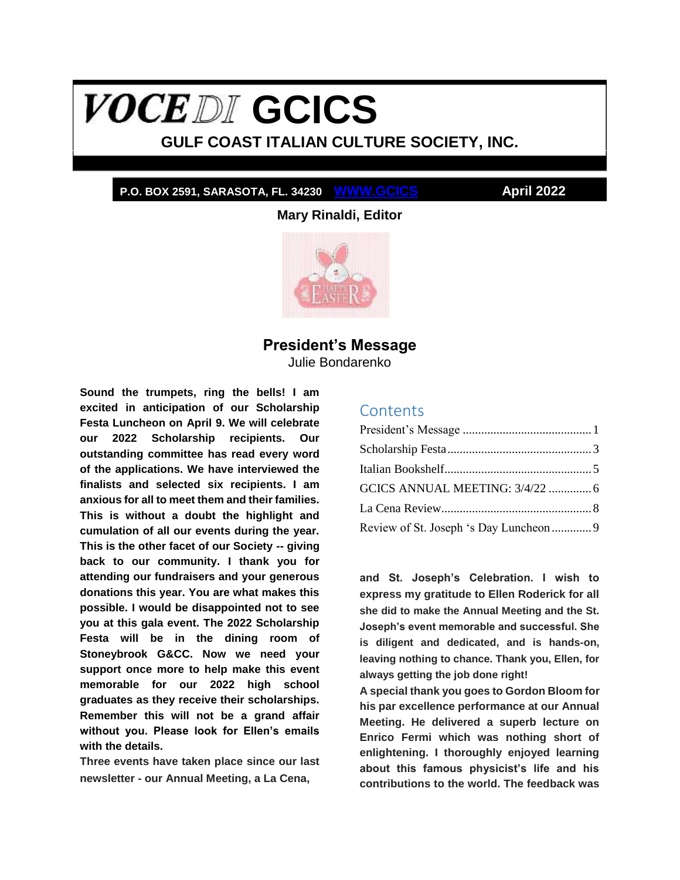# <span id="page-0-1"></span>**VOCEDI** GCICS

# **GULF COAST ITALIAN CULTURE SOCIETY, INC.**

## **P.O. BOX 2591, SARASOTA, FL. 34230 WWW.GCICS April 2022**

**Mary Rinaldi, Editor**



# **President's Message**

Julie Bondarenko

<span id="page-0-0"></span>**Sound the trumpets, ring the bells! I am excited in anticipation of our Scholarship Festa Luncheon on April 9. We will celebrate our 2022 Scholarship recipients. Our outstanding committee has read every word of the applications. We have interviewed the finalists and selected six recipients. I am anxious for all to meet them and their families. This is without a doubt the highlight and cumulation of all our events during the year. This is the other facet of our Society -- giving back to our community. I thank you for attending our fundraisers and your generous donations this year. You are what makes this possible. I would be disappointed not to see you at this gala event. The 2022 Scholarship Festa will be in the dining room of Stoneybrook G&CC. Now we need your support once more to help make this event memorable for our 2022 high school graduates as they receive their scholarships. Remember this will not be a grand affair without you. Please look for Ellen's emails with the details.**

**Three events have taken place since our last newsletter - our Annual Meeting, a La Cena,** 

## **Contents**

| GCICS ANNUAL MEETING: 3/4/22  6         |  |
|-----------------------------------------|--|
|                                         |  |
| Review of St. Joseph 's Day Luncheon  9 |  |

**and St. Joseph's Celebration. I wish to express my gratitude to Ellen Roderick for all she did to make the Annual Meeting and the St. Joseph's event memorable and successful. She is diligent and dedicated, and is hands-on, leaving nothing to chance. Thank you, Ellen, for always getting the job done right!**

**A special thank you goes to Gordon Bloom for his par excellence performance at our Annual Meeting. He delivered a superb lecture on Enrico Fermi which was nothing short of enlightening. I thoroughly enjoyed learning about this famous physicist's life and his contributions to the world. The feedback was**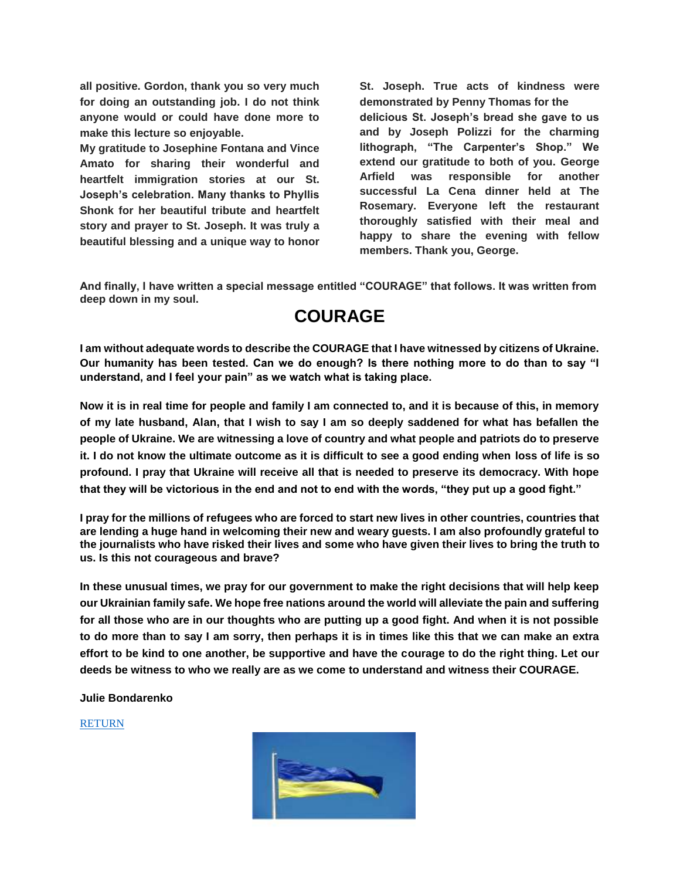**all positive. Gordon, thank you so very much for doing an outstanding job. I do not think anyone would or could have done more to make this lecture so enjoyable.**

**My gratitude to Josephine Fontana and Vince Amato for sharing their wonderful and heartfelt immigration stories at our St. Joseph's celebration. Many thanks to Phyllis Shonk for her beautiful tribute and heartfelt story and prayer to St. Joseph. It was truly a beautiful blessing and a unique way to honor** 

**St. Joseph. True acts of kindness were demonstrated by Penny Thomas for the delicious St. Joseph's bread she gave to us and by Joseph Polizzi for the charming lithograph, "The Carpenter's Shop." We extend our gratitude to both of you. George Arfield was responsible for another successful La Cena dinner held at The Rosemary. Everyone left the restaurant thoroughly satisfied with their meal and happy to share the evening with fellow members. Thank you, George.**

**And finally, I have written a special message entitled "COURAGE" that follows. It was written from deep down in my soul.**

# **COURAGE**

**I am without adequate words to describe the COURAGE that I have witnessed by citizens of Ukraine. Our humanity has been tested. Can we do enough? Is there nothing more to do than to say "I understand, and I feel your pain" as we watch what is taking place.**

**Now it is in real time for people and family I am connected to, and it is because of this, in memory of my late husband, Alan, that I wish to say I am so deeply saddened for what has befallen the people of Ukraine. We are witnessing a love of country and what people and patriots do to preserve it. I do not know the ultimate outcome as it is difficult to see a good ending when loss of life is so profound. I pray that Ukraine will receive all that is needed to preserve its democracy. With hope that they will be victorious in the end and not to end with the words, "they put up a good fight."**

**I pray for the millions of refugees who are forced to start new lives in other countries, countries that are lending a huge hand in welcoming their new and weary guests. I am also profoundly grateful to the journalists who have risked their lives and some who have given their lives to bring the truth to us. Is this not courageous and brave?**

**In these unusual times, we pray for our government to make the right decisions that will help keep our Ukrainian family safe. We hope free nations around the world will alleviate the pain and suffering for all those who are in our thoughts who are putting up a good fight. And when it is not possible to do more than to say I am sorry, then perhaps it is in times like this that we can make an extra effort to be kind to one another, be supportive and have the courage to do the right thing. Let our deeds be witness to who we really are as we come to understand and witness their COURAGE.**

**Julie Bondarenko**

#### [RETURN](#page-0-1)

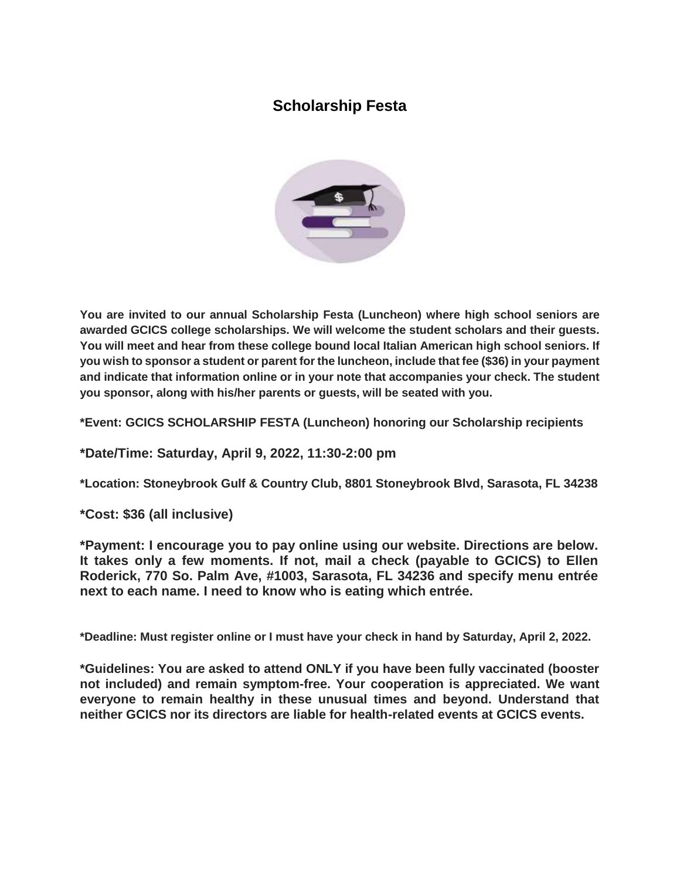# <span id="page-2-0"></span>**Scholarship Festa**



**You are invited to our annual Scholarship Festa (Luncheon) where high school seniors are awarded GCICS college scholarships. We will welcome the student scholars and their guests. You will meet and hear from these college bound local Italian American high school seniors. If you wish to sponsor a student or parent for the luncheon, include that fee (\$36) in your payment and indicate that information online or in your note that accompanies your check. The student you sponsor, along with his/her parents or guests, will be seated with you.**

**\*Event: GCICS SCHOLARSHIP FESTA (Luncheon) honoring our Scholarship recipients**

**\*Date/Time: Saturday, April 9, 2022, 11:30-2:00 pm**

**\*Location: Stoneybrook Gulf & Country Club, 8801 Stoneybrook Blvd, Sarasota, FL 34238**

**\*Cost: \$36 (all inclusive)**

**\*Payment: I encourage you to pay online using our website. Directions are below. It takes only a few moments. If not, mail a check (payable to GCICS) to Ellen Roderick, 770 So. Palm Ave, #1003, Sarasota, FL 34236 and specify menu entrée next to each name. I need to know who is eating which entrée.**

**\*Deadline: Must register online or I must have your check in hand by Saturday, April 2, 2022.**

**\*Guidelines: You are asked to attend ONLY if you have been fully vaccinated (booster not included) and remain symptom-free. Your cooperation is appreciated. We want everyone to remain healthy in these unusual times and beyond. Understand that neither GCICS nor its directors are liable for health-related events at GCICS events.**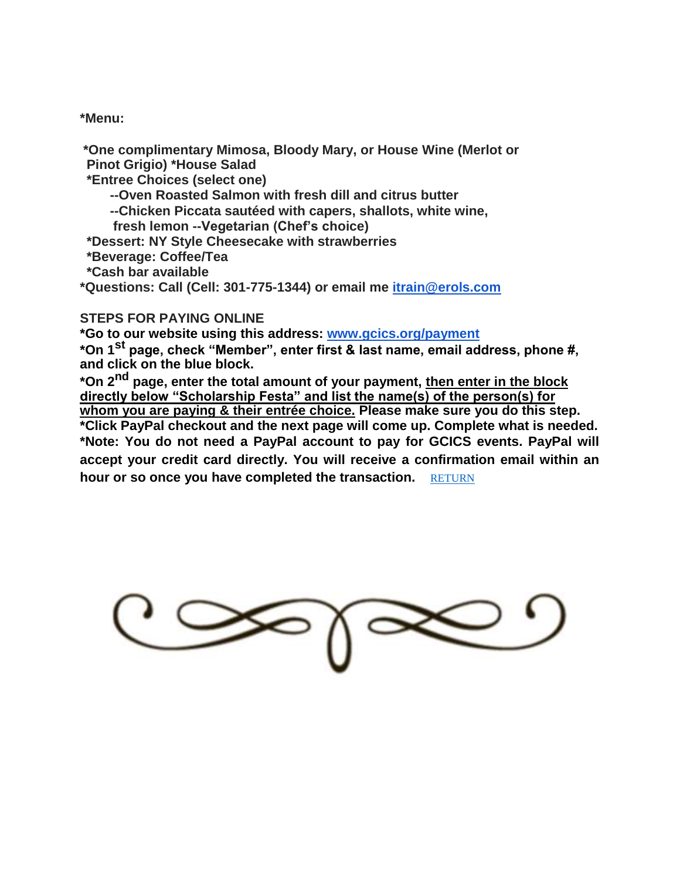**\*Menu:**

**\*One complimentary Mimosa, Bloody Mary, or House Wine (Merlot or Pinot Grigio) \*House Salad**

**\*Entree Choices (select one)**

**--Oven Roasted Salmon with fresh dill and citrus butter**

**--Chicken Piccata sautéed with capers, shallots, white wine,** 

**fresh lemon --Vegetarian (Chef's choice)**

**\*Dessert: NY Style Cheesecake with strawberries**

**\*Beverage: Coffee/Tea**

**\*Cash bar available**

**\*Questions: Call (Cell: 301-775-1344) or email me itrain@erols.com**

## **STEPS FOR PAYING ONLINE**

**\*Go to our website using this address: www.gcics.org/payment**

**\*On 1st page, check "Member", enter first & last name, email address, phone #, and click on the blue block.**

**\*On 2nd page, enter the total amount of your payment, then enter in the block directly below "Scholarship Festa" and list the name(s) of the person(s) for whom you are paying & their entrée choice. Please make sure you do this step. \*Click PayPal checkout and the next page will come up. Complete what is needed. \*Note: You do not need a PayPal account to pay for GCICS events. PayPal will accept your credit card directly. You will receive a confirmation email within an hour or so once you have completed the transaction.** [RETURN](#page-0-1)

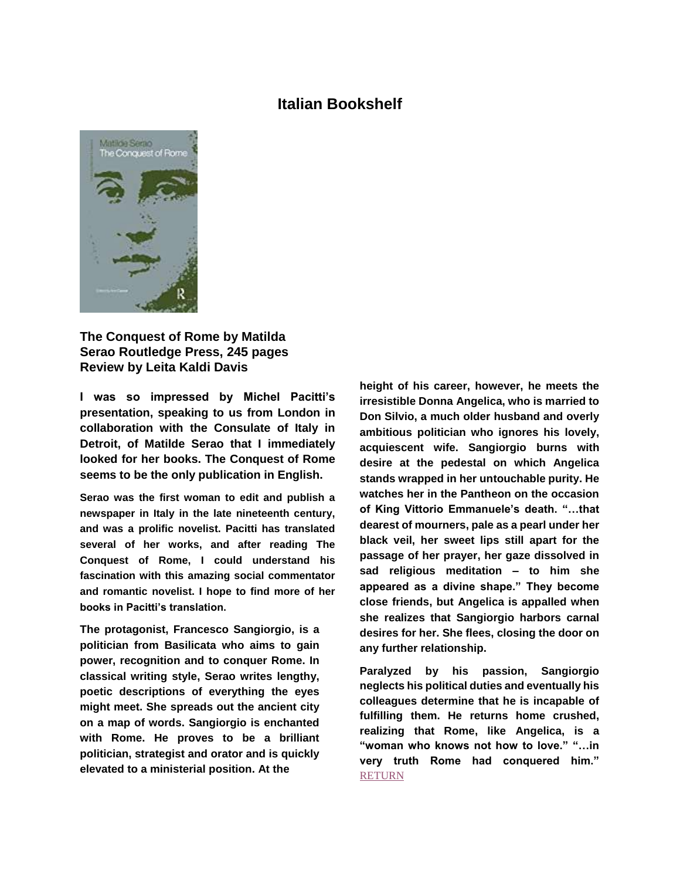## **Italian Bookshelf**

<span id="page-4-0"></span>

**The Conquest of Rome by Matilda Serao Routledge Press, 245 pages Review by Leita Kaldi Davis**

**I was so impressed by Michel Pacitti's presentation, speaking to us from London in collaboration with the Consulate of Italy in Detroit, of Matilde Serao that I immediately looked for her books. The Conquest of Rome seems to be the only publication in English.**

**Serao was the first woman to edit and publish a newspaper in Italy in the late nineteenth century, and was a prolific novelist. Pacitti has translated several of her works, and after reading The Conquest of Rome, I could understand his fascination with this amazing social commentator and romantic novelist. I hope to find more of her books in Pacitti's translation.**

**The protagonist, Francesco Sangiorgio, is a politician from Basilicata who aims to gain power, recognition and to conquer Rome. In classical writing style, Serao writes lengthy, poetic descriptions of everything the eyes might meet. She spreads out the ancient city on a map of words. Sangiorgio is enchanted with Rome. He proves to be a brilliant politician, strategist and orator and is quickly elevated to a ministerial position. At the**

**height of his career, however, he meets the irresistible Donna Angelica, who is married to Don Silvio, a much older husband and overly ambitious politician who ignores his lovely, acquiescent wife. Sangiorgio burns with desire at the pedestal on which Angelica stands wrapped in her untouchable purity. He watches her in the Pantheon on the occasion of King Vittorio Emmanuele's death. "…that dearest of mourners, pale as a pearl under her black veil, her sweet lips still apart for the passage of her prayer, her gaze dissolved in sad religious meditation – to him she appeared as a divine shape." They become close friends, but Angelica is appalled when she realizes that Sangiorgio harbors carnal desires for her. She flees, closing the door on any further relationship.**

**Paralyzed by his passion, Sangiorgio neglects his political duties and eventually his colleagues determine that he is incapable of fulfilling them. He returns home crushed, realizing that Rome, like Angelica, is a "woman who knows not how to love." "…in very truth Rome had conquered him." [RETURN](#page-0-1)**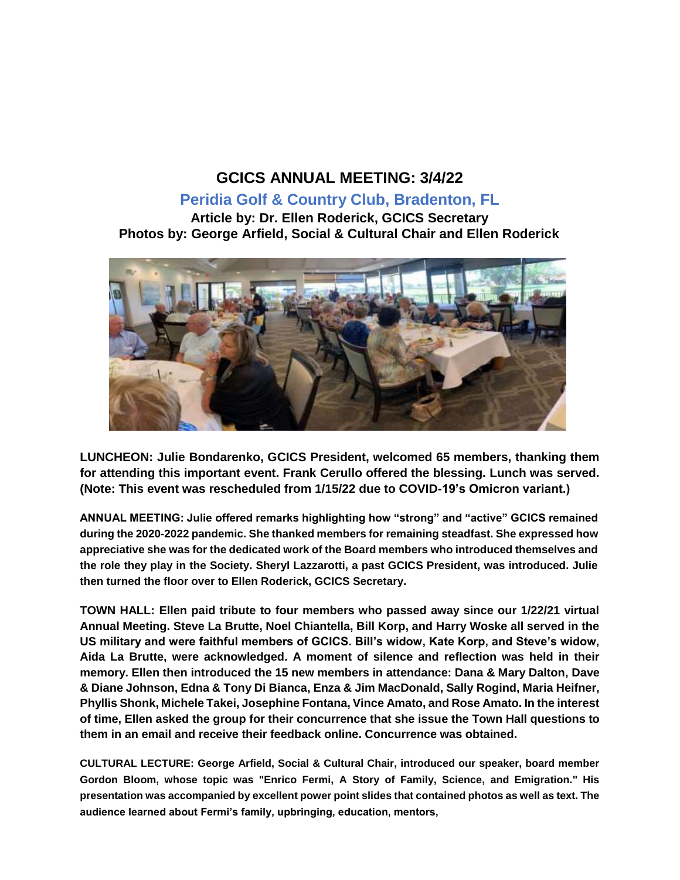# **GCICS ANNUAL MEETING: 3/4/22**

# **Peridia Golf & Country Club, Bradenton, FL**

<span id="page-5-0"></span>**Article by: Dr. Ellen Roderick, GCICS Secretary Photos by: George Arfield, Social & Cultural Chair and Ellen Roderick**



**LUNCHEON: Julie Bondarenko, GCICS President, welcomed 65 members, thanking them for attending this important event. Frank Cerullo offered the blessing. Lunch was served. (Note: This event was rescheduled from 1/15/22 due to COVID-19's Omicron variant.)**

**ANNUAL MEETING: Julie offered remarks highlighting how "strong" and "active" GCICS remained during the 2020-2022 pandemic. She thanked members for remaining steadfast. She expressed how appreciative she was for the dedicated work of the Board members who introduced themselves and the role they play in the Society. Sheryl Lazzarotti, a past GCICS President, was introduced. Julie then turned the floor over to Ellen Roderick, GCICS Secretary.**

**TOWN HALL: Ellen paid tribute to four members who passed away since our 1/22/21 virtual Annual Meeting. Steve La Brutte, Noel Chiantella, Bill Korp, and Harry Woske all served in the US military and were faithful members of GCICS. Bill's widow, Kate Korp, and Steve's widow, Aida La Brutte, were acknowledged. A moment of silence and reflection was held in their memory. Ellen then introduced the 15 new members in attendance: Dana & Mary Dalton, Dave & Diane Johnson, Edna & Tony Di Bianca, Enza & Jim MacDonald, Sally Rogind, Maria Heifner, Phyllis Shonk, Michele Takei, Josephine Fontana, Vince Amato, and Rose Amato. In the interest of time, Ellen asked the group for their concurrence that she issue the Town Hall questions to them in an email and receive their feedback online. Concurrence was obtained.**

**CULTURAL LECTURE: George Arfield, Social & Cultural Chair, introduced our speaker, board member Gordon Bloom, whose topic was "Enrico Fermi, A Story of Family, Science, and Emigration." His presentation was accompanied by excellent power point slides that contained photos as well as text. The audience learned about Fermi's family, upbringing, education, mentors,**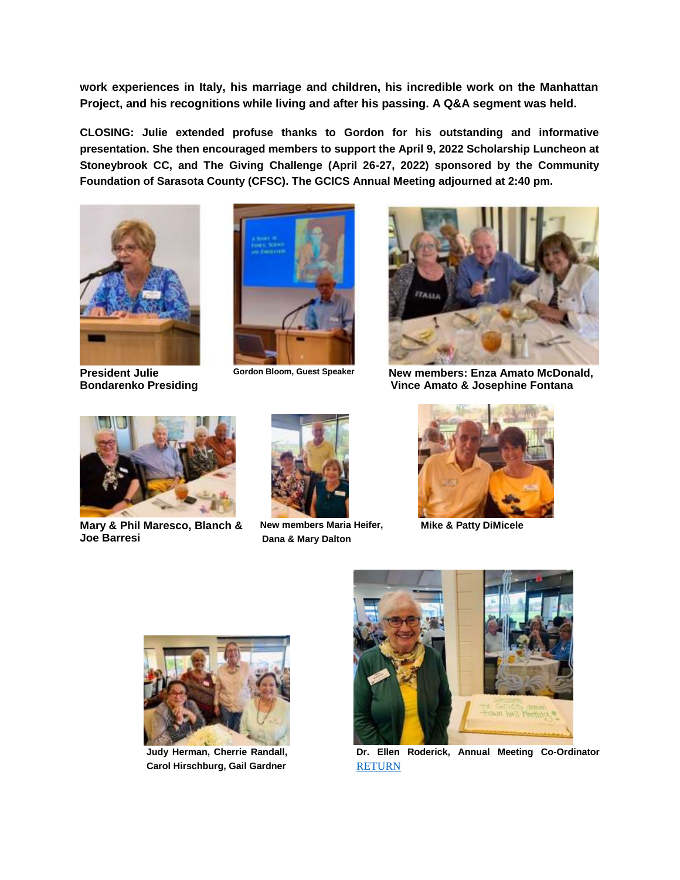**work experiences in Italy, his marriage and children, his incredible work on the Manhattan Project, and his recognitions while living and after his passing. A Q&A segment was held.**

**CLOSING: Julie extended profuse thanks to Gordon for his outstanding and informative presentation. She then encouraged members to support the April 9, 2022 Scholarship Luncheon at Stoneybrook CC, and The Giving Challenge (April 26-27, 2022) sponsored by the Community Foundation of Sarasota County (CFSC). The GCICS Annual Meeting adjourned at 2:40 pm.**



**President Julie Bondarenko Presiding**





**Gordon Bloom, Guest Speaker New members: Enza Amato McDonald, Vince Amato & Josephine Fontana**



**Mary & Phil Maresco, Blanch & Joe Barresi**



**New members Maria Heifer, Dana & Mary Dalton**



**Mike & Patty DiMicele**



**Judy Herman, Cherrie Randall, Carol Hirschburg, Gail Gardner**



**Dr. Ellen Roderick, Annual Meeting Co-Ordinator** [RETURN](#page-0-1)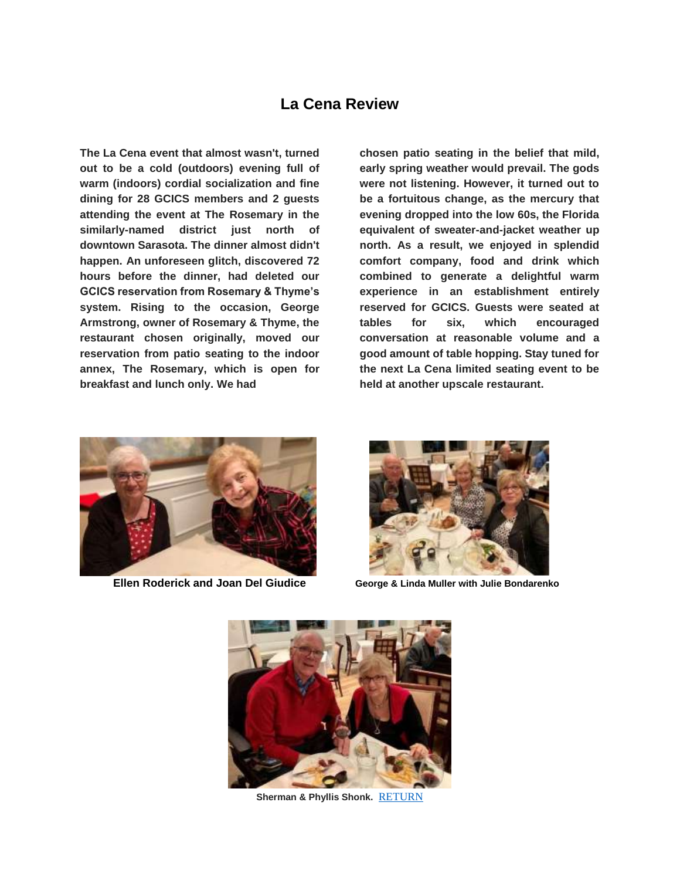# **La Cena Review**

<span id="page-7-0"></span>**The La Cena event that almost wasn't, turned out to be a cold (outdoors) evening full of warm (indoors) cordial socialization and fine dining for 28 GCICS members and 2 guests attending the event at The Rosemary in the similarly-named district just north of downtown Sarasota. The dinner almost didn't happen. An unforeseen glitch, discovered 72 hours before the dinner, had deleted our GCICS reservation from Rosemary & Thyme's system. Rising to the occasion, George Armstrong, owner of Rosemary & Thyme, the restaurant chosen originally, moved our reservation from patio seating to the indoor annex, The Rosemary, which is open for breakfast and lunch only. We had**

**chosen patio seating in the belief that mild, early spring weather would prevail. The gods were not listening. However, it turned out to be a fortuitous change, as the mercury that evening dropped into the low 60s, the Florida equivalent of sweater-and-jacket weather up north. As a result, we enjoyed in splendid comfort company, food and drink which combined to generate a delightful warm experience in an establishment entirely reserved for GCICS. Guests were seated at tables for six, which encouraged conversation at reasonable volume and a good amount of table hopping. Stay tuned for the next La Cena limited seating event to be held at another upscale restaurant.**



**Ellen Roderick and Joan Del Giudice George & Linda Muller with Julie Bondarenko**





**Sherman & Phyllis Shonk.** [RETURN](#page-0-1)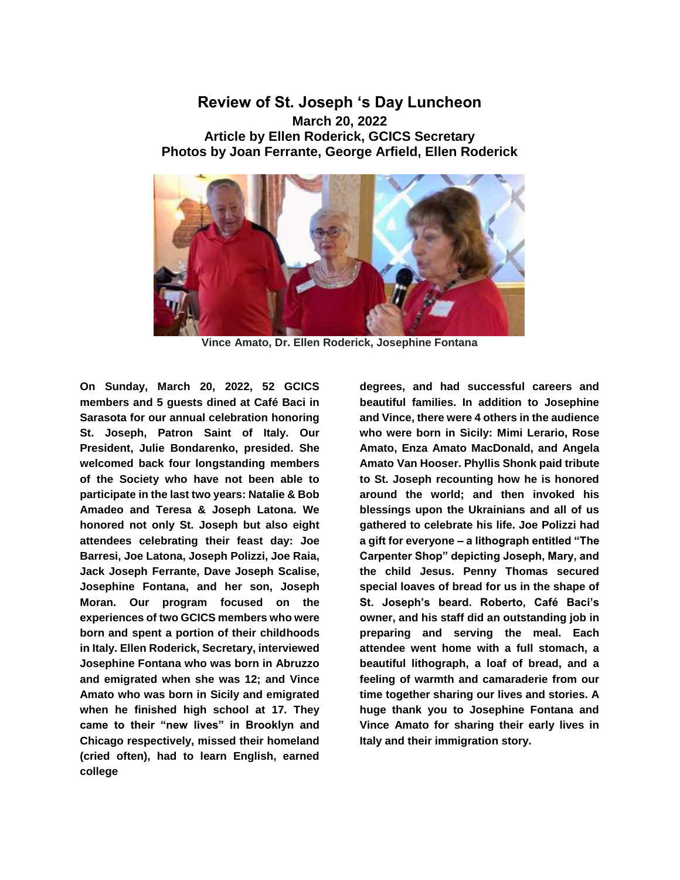## <span id="page-8-0"></span>**Review of St. Joseph 's Day Luncheon March 20, 2022 Article by Ellen Roderick, GCICS Secretary Photos by Joan Ferrante, George Arfield, Ellen Roderick**



**Vince Amato, Dr. Ellen Roderick, Josephine Fontana**

**On Sunday, March 20, 2022, 52 GCICS members and 5 guests dined at Café Baci in Sarasota for our annual celebration honoring St. Joseph, Patron Saint of Italy. Our President, Julie Bondarenko, presided. She welcomed back four longstanding members of the Society who have not been able to participate in the last two years: Natalie & Bob Amadeo and Teresa & Joseph Latona. We honored not only St. Joseph but also eight attendees celebrating their feast day: Joe Barresi, Joe Latona, Joseph Polizzi, Joe Raia, Jack Joseph Ferrante, Dave Joseph Scalise, Josephine Fontana, and her son, Joseph Moran. Our program focused on the experiences of two GCICS members who were born and spent a portion of their childhoods in Italy. Ellen Roderick, Secretary, interviewed Josephine Fontana who was born in Abruzzo and emigrated when she was 12; and Vince Amato who was born in Sicily and emigrated when he finished high school at 17. They came to their "new lives" in Brooklyn and Chicago respectively, missed their homeland (cried often), had to learn English, earned college**

**degrees, and had successful careers and beautiful families. In addition to Josephine and Vince, there were 4 others in the audience who were born in Sicily: Mimi Lerario, Rose Amato, Enza Amato MacDonald, and Angela Amato Van Hooser. Phyllis Shonk paid tribute to St. Joseph recounting how he is honored around the world; and then invoked his blessings upon the Ukrainians and all of us gathered to celebrate his life. Joe Polizzi had a gift for everyone – a lithograph entitled "The Carpenter Shop" depicting Joseph, Mary, and the child Jesus. Penny Thomas secured special loaves of bread for us in the shape of St. Joseph's beard. Roberto, Café Baci's owner, and his staff did an outstanding job in preparing and serving the meal. Each attendee went home with a full stomach, a beautiful lithograph, a loaf of bread, and a feeling of warmth and camaraderie from our time together sharing our lives and stories. A huge thank you to Josephine Fontana and Vince Amato for sharing their early lives in Italy and their immigration story.**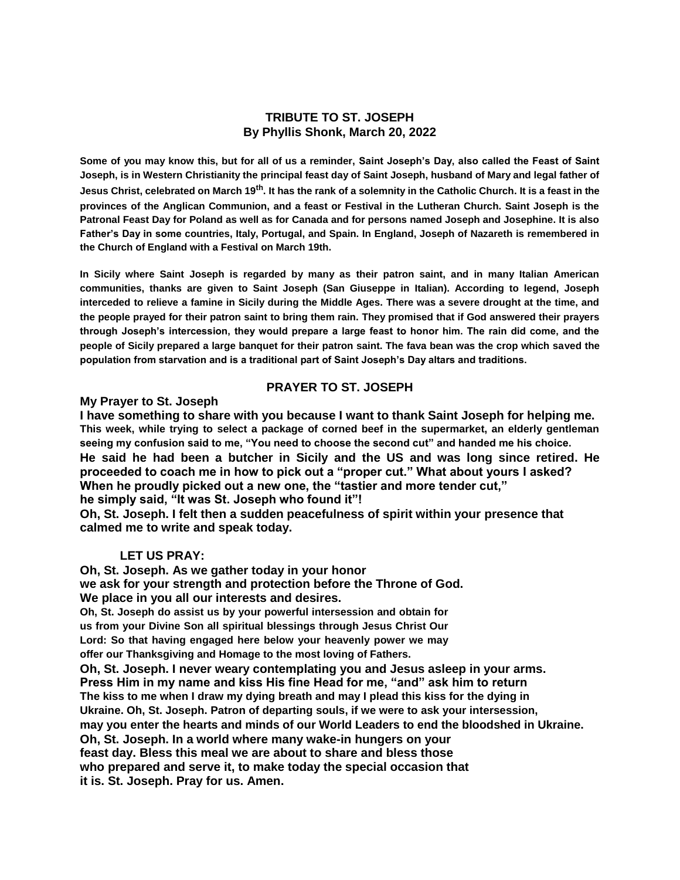## **TRIBUTE TO ST. JOSEPH By Phyllis Shonk, March 20, 2022**

**Some of you may know this, but for all of us a reminder, Saint Joseph's Day, also called the Feast of Saint Joseph, is in Western Christianity the principal feast day of Saint Joseph, husband of Mary and legal father of Jesus Christ, celebrated on March 19th. It has the rank of a solemnity in the Catholic Church. It is a feast in the provinces of the Anglican Communion, and a feast or Festival in the Lutheran Church. Saint Joseph is the Patronal Feast Day for Poland as well as for Canada and for persons named Joseph and Josephine. It is also Father's Day in some countries, Italy, Portugal, and Spain. In England, Joseph of Nazareth is remembered in the Church of England with a Festival on March 19th.**

**In Sicily where Saint Joseph is regarded by many as their patron saint, and in many Italian American communities, thanks are given to Saint Joseph (San Giuseppe in Italian). According to legend, Joseph interceded to relieve a famine in Sicily during the Middle Ages. There was a severe drought at the time, and the people prayed for their patron saint to bring them rain. They promised that if God answered their prayers through Joseph's intercession, they would prepare a large feast to honor him. The rain did come, and the people of Sicily prepared a large banquet for their patron saint. The fava bean was the crop which saved the population from starvation and is a traditional part of Saint Joseph's Day altars and traditions.**

## **PRAYER TO ST. JOSEPH**

#### **My Prayer to St. Joseph**

**I have something to share with you because I want to thank Saint Joseph for helping me. This week, while trying to select a package of corned beef in the supermarket, an elderly gentleman seeing my confusion said to me, "You need to choose the second cut" and handed me his choice. He said he had been a butcher in Sicily and the US and was long since retired. He proceeded to coach me in how to pick out a "proper cut." What about yours I asked? When he proudly picked out a new one, the "tastier and more tender cut," he simply said, "It was St. Joseph who found it"!**

**Oh, St. Joseph. I felt then a sudden peacefulness of spirit within your presence that calmed me to write and speak today.**

## **LET US PRAY:**

**Oh, St. Joseph. As we gather today in your honor we ask for your strength and protection before the Throne of God. We place in you all our interests and desires.**

**Oh, St. Joseph do assist us by your powerful intersession and obtain for us from your Divine Son all spiritual blessings through Jesus Christ Our Lord: So that having engaged here below your heavenly power we may offer our Thanksgiving and Homage to the most loving of Fathers.**

**Oh, St. Joseph. I never weary contemplating you and Jesus asleep in your arms. Press Him in my name and kiss His fine Head for me, "and" ask him to return The kiss to me when I draw my dying breath and may I plead this kiss for the dying in Ukraine. Oh, St. Joseph. Patron of departing souls, if we were to ask your intersession, may you enter the hearts and minds of our World Leaders to end the bloodshed in Ukraine. Oh, St. Joseph. In a world where many wake-in hungers on your feast day. Bless this meal we are about to share and bless those who prepared and serve it, to make today the special occasion that it is. St. Joseph. Pray for us. Amen.**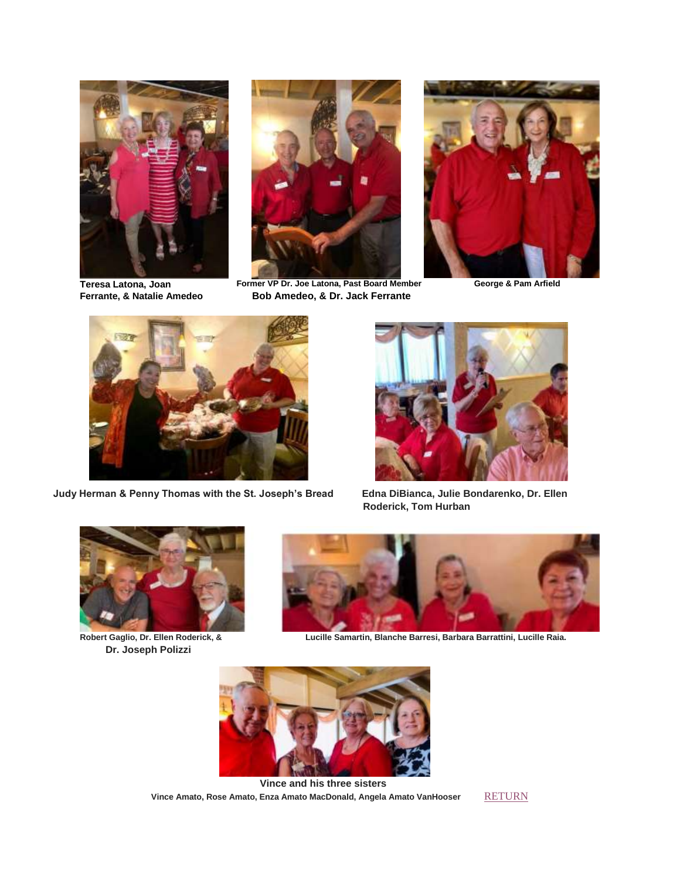

**Teresa Latona, Joan Ferrante, & Natalie Amedeo**



**Former VP Dr. Joe Latona, Past Board Member Bob Amedeo, & Dr. Jack Ferrante**



**George & Pam Arfield**



**Judy Herman & Penny Thomas with the St. Joseph's Bread Edna DiBianca, Julie Bondarenko, Dr. Ellen** 



**Roderick, Tom Hurban**



**Robert Gaglio, Dr. Ellen Roderick, & Dr. Joseph Polizzi**



**Lucille Samartin, Blanche Barresi, Barbara Barrattini, Lucille Raia.**



**Vince and his three sisters** Vince Amato, Rose Amato, Enza Amato MacDonald, Angela Amato VanHooser [RETURN](#page-0-1)